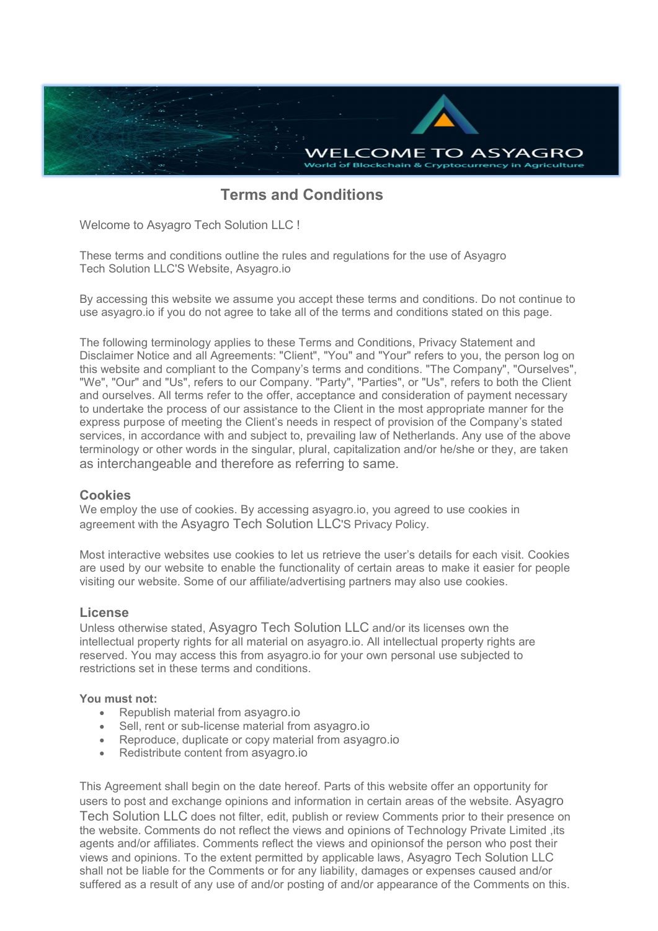

# **Terms and Conditions**

Welcome to Asyagro Tech Solution LLC !

These terms and conditions outline the rules and regulations for the use of Asyagro Tech Solution LLC'S Website, Asyagro.io

By accessing this website we assume you accept these terms and conditions. Do not continue to use asyagro.io if you do not agree to take all of the terms and conditions stated on this page.

The following terminology applies to these Terms and Conditions, Privacy Statement and Disclaimer Notice and all Agreements: "Client", "You" and "Your" refers to you, the person log on this website and compliant to the Company's terms and conditions. "The Company", "Ourselves", "We", "Our" and "Us", refers to our Company. "Party", "Parties", or "Us", refers to both the Client and ourselves. All terms refer to the offer, acceptance and consideration of payment necessary to undertake the process of our assistance to the Client in the most appropriate manner for the express purpose of meeting the Client's needs in respect of provision of the Company's stated services, in accordance with and subject to, prevailing law of Netherlands. Any use of the above terminology or other words in the singular, plural, capitalization and/or he/she or they, are taken as interchangeable and therefore as referring to same.

#### **Cookies**

We employ the use of cookies. By accessing asyagro.io, you agreed to use cookies in agreement with the Asyagro Tech Solution LLC'S Privacy Policy.

Most interactive websites use cookies to let us retrieve the user's details for each visit. Cookies are used by our website to enable the functionality of certain areas to make it easier for people visiting our website. Some of our affiliate/advertising partners may also use cookies.

## **License**

Unless otherwise stated, Asyagro Tech Solution LLC and/or its licenses own the intellectual property rights for all material on asyagro.io. All intellectual property rights are reserved. You may access this from asyagro.io for your own personal use subjected to restrictions set in these terms and conditions.

#### **You must not:**

- Republish material from asyagro.jo
- Sell, rent or sub-license material from asyagro.io
- Reproduce, duplicate or copy material from asyagro.io
- Redistribute content from asyagro.io

This Agreement shall begin on the date hereof. Parts of this website offer an opportunity for users to post and exchange opinions and information in certain areas of the website. Asyagro Tech Solution LLC does not filter, edit, publish or review Comments prior to their presence on the website. Comments do not reflect the views and opinions of Technology Private Limited ,its agents and/or affiliates. Comments reflect the views and opinionsof the person who post their views and opinions. To the extent permitted by applicable laws, Asyagro Tech Solution LLC shall not be liable for the Comments or for any liability, damages or expenses caused and/or suffered as a result of any use of and/or posting of and/or appearance of the Comments on this.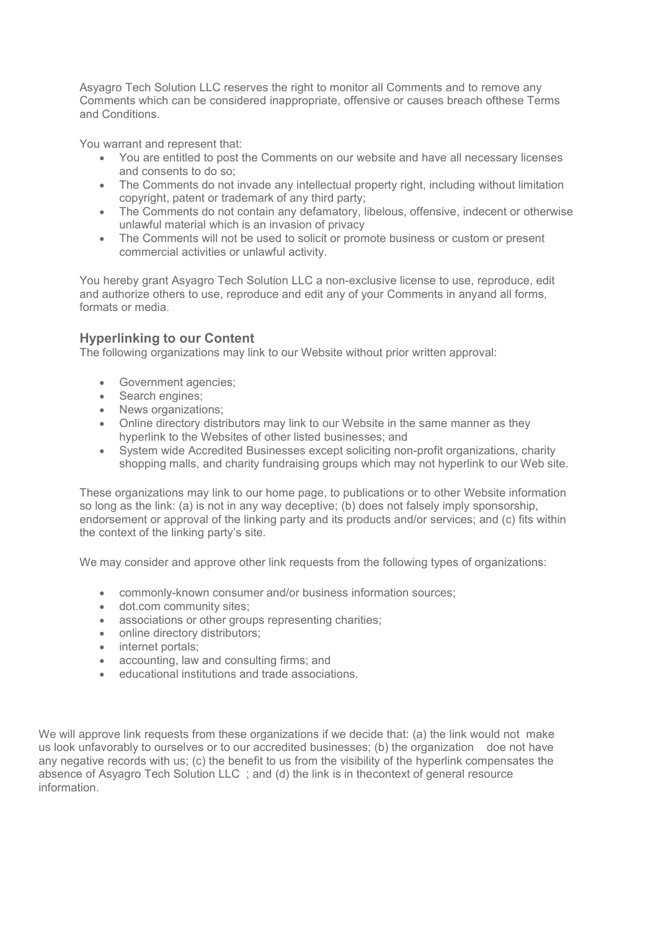Asyagro Tech Solution LLC reserves the right to monitor all Comments and to remove any Comments which can be considered inappropriate, offensive or causes breach ofthese Terms and Conditions.<br>You warrant and represent that:

- You are entitled to post the Comments on our website and have all necessary licenses and consents to do so;
- The Comments do not invade any intellectual property right, including without limitation copyright, patent or trademark of any third party;
- The Comments do not contain any defamatory, libelous, offensive, indecent or otherwise unlawful material which is an invasion of privacy
- The Comments will not be used to solicit or promote business or custom or present commercial activities or unlawful activity.

You hereby grant Asyagro Tech Solution LLC a non-exclusive license to use, reproduce, edit and authorize others to use, reproduce and edit any of your Comments in anyand all forms, formats or media.

## **Hyperlinking to our Content**

The following organizations may link to our Website without prior written approval:

- Government agencies;
- Search engines;
- News organizations;
- Online directory distributors may link to our Website in the same manner as they hyperlink to the Websites of other listed businesses; and
- System wide Accredited Businesses except soliciting non-profit organizations, charity shopping malls, and charity fundraising groups which may not hyperlink to our Web site.

These organizations may link to our home page, to publications or to other Website information so long as the link: (a) is not in any way deceptive; (b) does not falsely imply sponsorship, endorsement or approval of the linking party and its products and/or services; and (c) fits within the context of the linking party's site.

We may consider and approve other link requests from the following types of organizations:

- commonly-known consumer and/or business information sources;
- dot.com community sites;
- associations or other groups representing charities;
- online directory distributors:
- internet portals:
- accounting, law and consulting firms; and
- educational institutions and trade associations.

We will approve link requests from these organizations if we decide that: (a) the link would not make us look unfavorably to ourselves or to our accredited businesses; (b) the organization doe not have any negative records with us; (c) the benefit to us from the visibility of the hyperlink compensates the absence of Asyagro Tech Solution LLC ; and (d) the link is in thecontext of general resource information.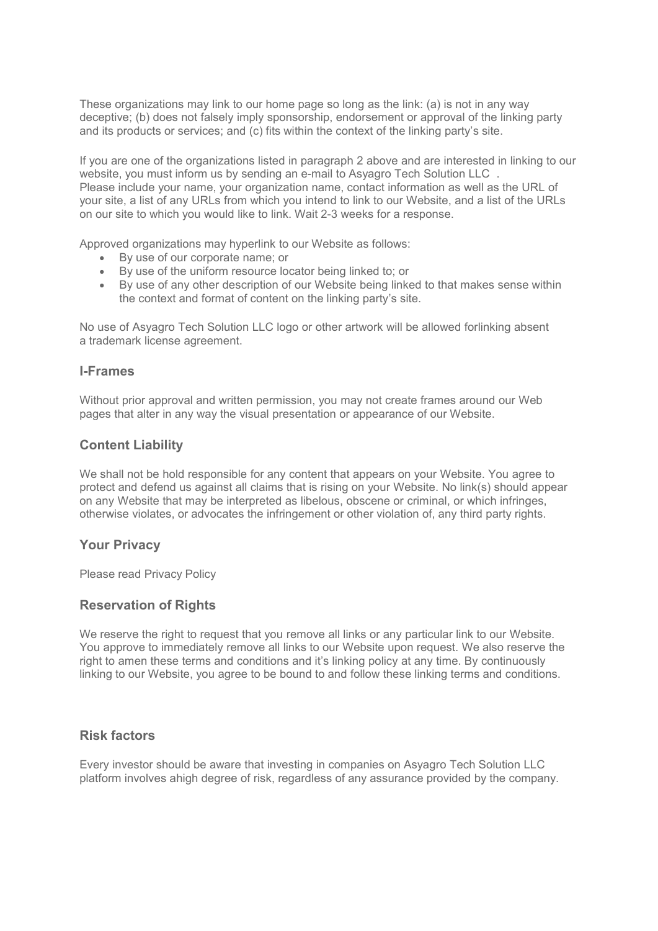These organizations may link to our home page so long as the link: (a) is not in any way deceptive; (b) does not falsely imply sponsorship, endorsement or approval of the linking party and its products or services; and (c) fits within the context of the linking party's site.

If you are one of the organizations listed in paragraph 2 above and are interested in linking to our website, you must inform us by sending an e-mail to Asyagro Tech Solution LLC . Please include your name, your organization name, contact information as well as the URL of your site, a list of any URLs from which you intend to link to our Website, and a list of the URLs on our site to which you would like to link. Wait 2-3 weeks for a response.

Approved organizations may hyperlink to our Website as follows:

- By use of our corporate name; or
- By use of the uniform resource locator being linked to; or
- By use of any other description of our Website being linked to that makes sense within the context and format of content on the linking party's site.<br>No use of Asyagro Tech Solution LLC logo or other artwork will be allowed forlinking absent

a trademark license agreement.

#### **I-Frames**

Without prior approval and written permission, you may not create frames around our Web pages that alter in any way the visual presentation or appearance of our Website.

## **Content Liability**

We shall not be hold responsible for any content that appears on your Website. You agree to protect and defend us against all claims that is rising on your Website. No link(s) should appear on any Website that may be interpreted as libelous, obscene or criminal, or which infringes, otherwise violates, or advocates the infringement or other violation of, any third party rights.

#### **Your Privacy**

Please read Privacy Policy

## **Reservation of Rights**

We reserve the right to request that you remove all links or any particular link to our Website. You approve to immediately remove all links to our Website upon request. We also reserve the right to amen these terms and conditions and it's linking policy at any time. By continuously linking to our Website, you agree to be bound to and follow these linking terms and conditions.

## **Risk factors**

Every investor should be aware that investing in companies on Asyagro Tech Solution LLC platform involves ahigh degree of risk, regardless of any assurance provided by the company.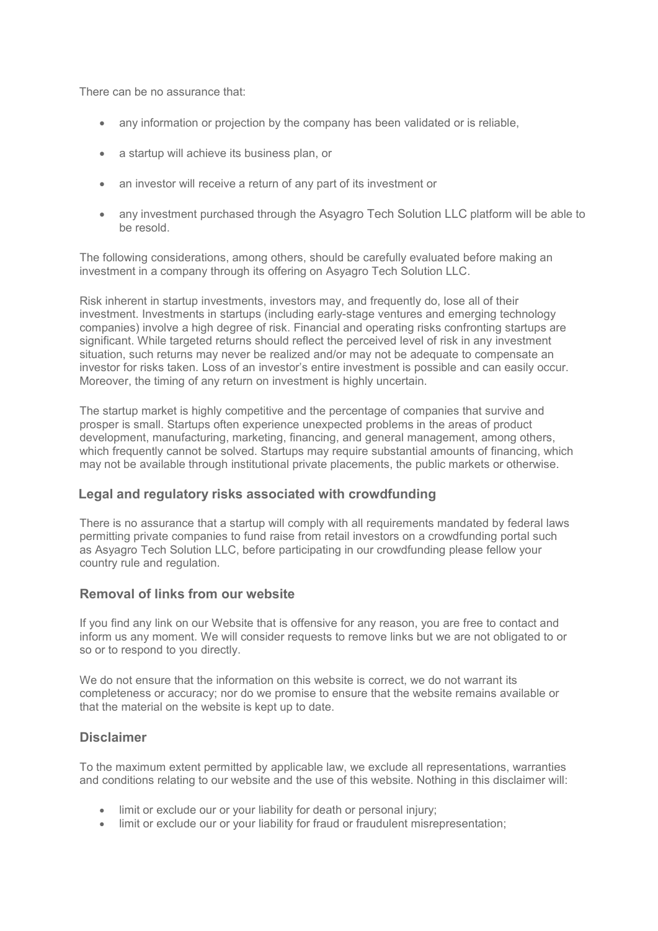There can be no assurance that:

- any information or projection by the company has been validated or is reliable,
- a startup will achieve its business plan, or
- an investor will receive a return of any part of its investment or
- any investment purchased through the Asyagro Tech Solution LLC platform will be able to be resold.

The following considerations, among others, should be carefully evaluated before making an investment in a company through its offering on Asyagro Tech Solution LLC.

Risk inherent in startup investments, investors may, and frequently do, lose all of their investment. Investments in startups (including early-stage ventures and emerging technology companies) involve a high degree of risk. Financial and operating risks confronting startups are significant. While targeted returns should reflect the perceived level of risk in any investment situation, such returns may never be realized and/or may not be adequate to compensate an investor for risks taken. Loss of an investor's entire investment is possible and can easily occur. Moreover, the timing of any return on investment is highly uncertain.

The startup market is highly competitive and the percentage of companies that survive and prosper is small. Startups often experience unexpected problems in the areas of product development, manufacturing, marketing, financing, and general management, among others, which frequently cannot be solved. Startups may require substantial amounts of financing, which may not be available through institutional private placements, the public markets or otherwise.

## **Legal and regulatory risks associated with crowdfunding**

There is no assurance that a startup will comply with all requirements mandated by federal laws permitting private companies to fund raise from retail investors on a crowdfunding portal such as Asyagro Tech Solution LLC, before participating in our crowdfunding please fellow your country rule and regulation.

## **Removal of links from our website**

If you find any link on our Website that is offensive for any reason, you are free to contact and inform us any moment.We will consider requests to remove links but we are not obligated to or so or to respond to you directly.

We do not ensure that the information on this website is correct, we do not warrant its completeness or accuracy; nor do we promise to ensure that the website remains available or that the material on the website is kept up to date.

## **Disclaimer**

To the maximum extent permitted by applicable law, we exclude all representations, warranties and conditions relating to our website and the use of this website. Nothing in this disclaimer will:

- limit or exclude our or your liability for death or personal injury;
- limit or exclude our or your liability for fraud or fraudulent misrepresentation;